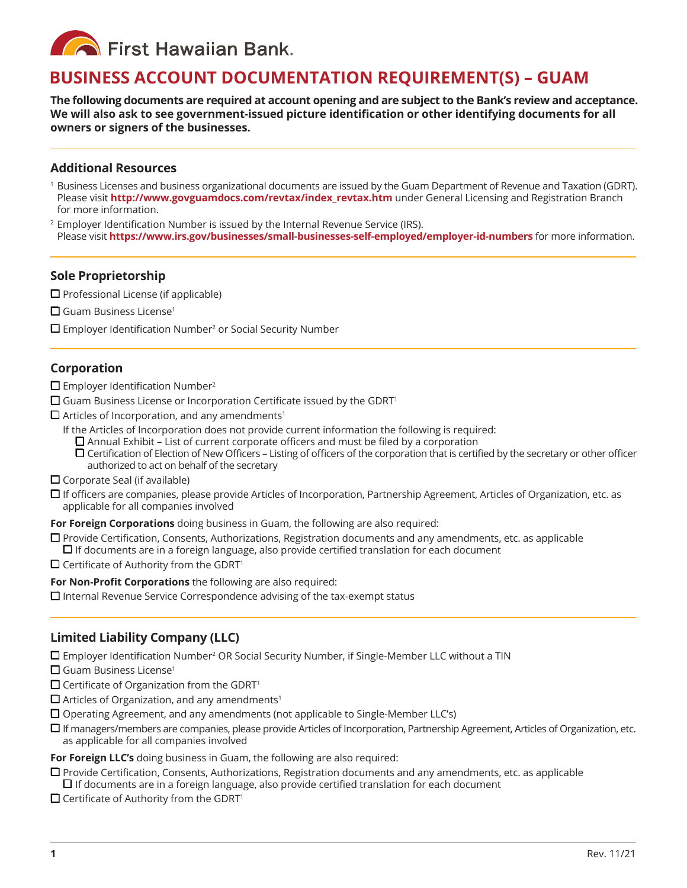

# **BUSINESS ACCOUNT DOCUMENTATION REQUIREMENT(S) – GUAM**

**The following documents are required at account opening and are subject to the Bank's review and acceptance. We will also ask to see government-issued picture identification or other identifying documents for all owners or signers of the businesses.** 

#### **Additional Resources**

- $^{\rm 1}$  Business Licenses and business organizational documents are issued by the Guam Department of Revenue and Taxation (GDRT). Please visit **http://www.govguamdocs.com/revtax/index\_revtax.htm** under General Licensing and Registration Branch for more information.
- 2 Employer Identification Number is issued by the Internal Revenue Service (IRS). Please visit **https://www.irs.gov/businesses/small-businesses-self-employed/employer-id-numbers** for more information.

### **Sole Proprietorship**

- $\square$  Professional License (if applicable)
- $\Box$  Guam Business License<sup>1</sup>
- $\square$  Employer Identification Number<sup>2</sup> or Social Security Number

# **Corporation**

 $\Box$  Employer Identification Number<sup>2</sup>

- $\square$  Guam Business License or Incorporation Certificate issued by the GDRT<sup>1</sup>
- $\Box$  Articles of Incorporation, and any amendments<sup>1</sup>
	- If the Articles of Incorporation does not provide current information the following is required:
		- $\square$  Annual Exhibit List of current corporate officers and must be filed by a corporation
		- $\Box$  Certification of Election of New Officers Listing of officers of the corporation that is certified by the secretary or other officer authorized to act on behalf of the secretary
- $\Box$  Corporate Seal (if available)
- $\Box$  If officers are companies, please provide Articles of Incorporation, Partnership Agreement, Articles of Organization, etc. as applicable for all companies involved

**For Foreign Corporations** doing business in Guam, the following are also required:

- $\Box$  Provide Certification, Consents, Authorizations, Registration documents and any amendments, etc. as applicable  $\Box$  If documents are in a foreign language, also provide certified translation for each document
- $\Box$  Certificate of Authority from the GDRT<sup>1</sup>

**For Non-Profit Corporations** the following are also required:

 $\Box$  Internal Revenue Service Correspondence advising of the tax-exempt status

# **Limited Liability Company (LLC)**

 $\square$  Employer Identification Number<sup>2</sup> OR Social Security Number, if Single-Member LLC without a TIN

- $\Box$  Guam Business License<sup>1</sup>
- $\square$  Certificate of Organization from the GDRT<sup>1</sup>
- $\Box$  Articles of Organization, and any amendments<sup>1</sup>
- $\square$  Operating Agreement, and any amendments (not applicable to Single-Member LLC's)
- $\Box$  If managers/members are companies, please provide Articles of Incorporation, Partnership Agreement, Articles of Organization, etc. as applicable for all companies involved

**For Foreign LLC's** doing business in Guam, the following are also required:

- $\Box$  Provide Certification, Consents, Authorizations, Registration documents and any amendments, etc. as applicable
- $\Box$  If documents are in a foreign language, also provide certified translation for each document
- $\Box$  Certificate of Authority from the GDRT<sup>1</sup>